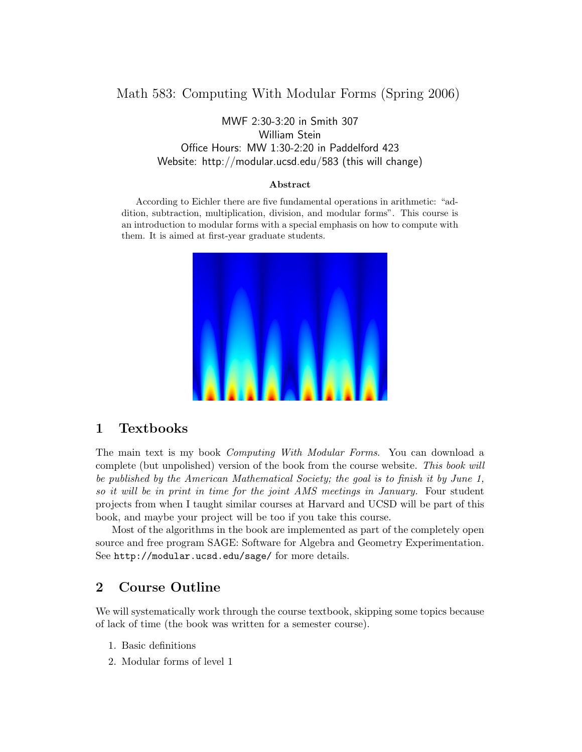# Math 583: Computing With Modular Forms (Spring 2006)

MWF 2:30-3:20 in Smith 307 William Stein Office Hours: MW 1:30-2:20 in Paddelford 423 Website: http://modular.ucsd.edu/583 (this will change)

#### Abstract

According to Eichler there are five fundamental operations in arithmetic: "addition, subtraction, multiplication, division, and modular forms". This course is an introduction to modular forms with a special emphasis on how to compute with them. It is aimed at first-year graduate students.



#### 1 Textbooks

The main text is my book Computing With Modular Forms. You can download a complete (but unpolished) version of the book from the course website. This book will be published by the American Mathematical Society; the goal is to finish it by June 1, so it will be in print in time for the joint AMS meetings in January. Four student projects from when I taught similar courses at Harvard and UCSD will be part of this book, and maybe your project will be too if you take this course.

Most of the algorithms in the book are implemented as part of the completely open source and free program SAGE: Software for Algebra and Geometry Experimentation. See http://modular.ucsd.edu/sage/ for more details.

## 2 Course Outline

We will systematically work through the course textbook, skipping some topics because of lack of time (the book was written for a semester course).

- 1. Basic definitions
- 2. Modular forms of level 1